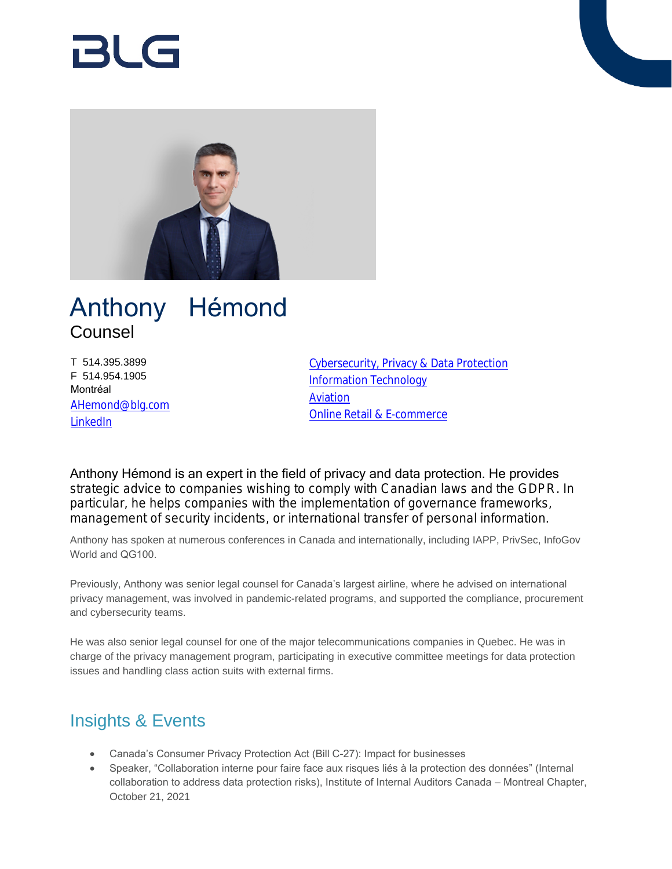

# Anthony Hémond Counsel

T 514.395.3899 F 514.954.1905 Montréal [AHemond@blg.com](mailto:AHemond@blg.com) [LinkedIn](https://www.linkedin.com/in/anthony-hemond-cipm/)

[Cybersecurity, Privacy & Data Protection](https://www.blg.com/en/services/practice-areas/cybersecurity-privacy-data-protection) [Information Technology](https://www.blg.com/en/services/practice-areas/information-technology) **[Aviation](https://www.blg.com/en/services/industries/transportation/aviation)** [Online Retail & E-commerce](https://www.blg.com/en/services/industries/technology/online-retail-and-e-commerce)

Anthony Hémond is an expert in the field of privacy and data protection. He provides strategic advice to companies wishing to comply with Canadian laws and the GDPR. In particular, he helps companies with the implementation of governance frameworks, management of security incidents, or international transfer of personal information.

Anthony has spoken at numerous conferences in Canada and internationally, including IAPP, PrivSec, InfoGov World and QG100.

Previously, Anthony was senior legal counsel for Canada's largest airline, where he advised on international privacy management, was involved in pandemic-related programs, and supported the compliance, procurement and cybersecurity teams.

He was also senior legal counsel for one of the major telecommunications companies in Quebec. He was in charge of the privacy management program, participating in executive committee meetings for data protection issues and handling class action suits with external firms.

# Insights & Events

- Canada's Consumer Privacy Protection Act (Bill C-27): Impact for businesses
- Speaker, "Collaboration interne pour faire face aux risques liés à la protection des données" (Internal collaboration to address data protection risks), Institute of Internal Auditors Canada – Montreal Chapter, October 21, 2021